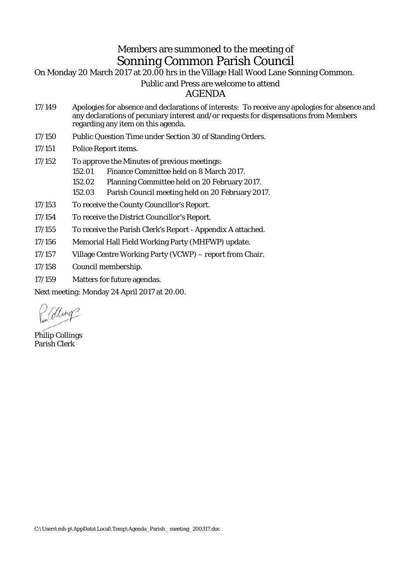## Members are summoned to the meeting of Sonning Common Parish Council

On Monday 20 March 2017 at 20.00 hrs in the Village Hall Wood Lane Sonning Common.

## Public and Press are welcome to attend

AGENDA

- 17/149 Apologies for absence and declarations of interests: To receive any apologies for absence and any declarations of pecuniary interest and/or requests for dispensations from Members regarding any item on this agenda.
- 17/150 Public Question Time under Section 30 of Standing Orders.
- 17/151 Police Report items.
- 17/152 To approve the Minutes of previous meetings:
	- 152.01 Finance Committee held on 8 March 2017.
	- 152.02 Planning Committee held on 20 February 2017.
	- 152.03 Parish Council meeting held on 20 February 2017.
- 17/153 To receive the County Councillor's Report.
- 17/154 To receive the District Councillor's Report.
- 17/155 To receive the Parish Clerk's Report Appendix A attached.
- 17/156 Memorial Hall Field Working Party (MHFWP) update.
- 17/157 Village Centre Working Party (VCWP) report from Chair.
- 17/158 Council membership.
- 17/159 Matters for future agendas.

Next meeting: Monday 24 April 2017 at 20.00.

*Colling* 

Philip Collings Parish Clerk